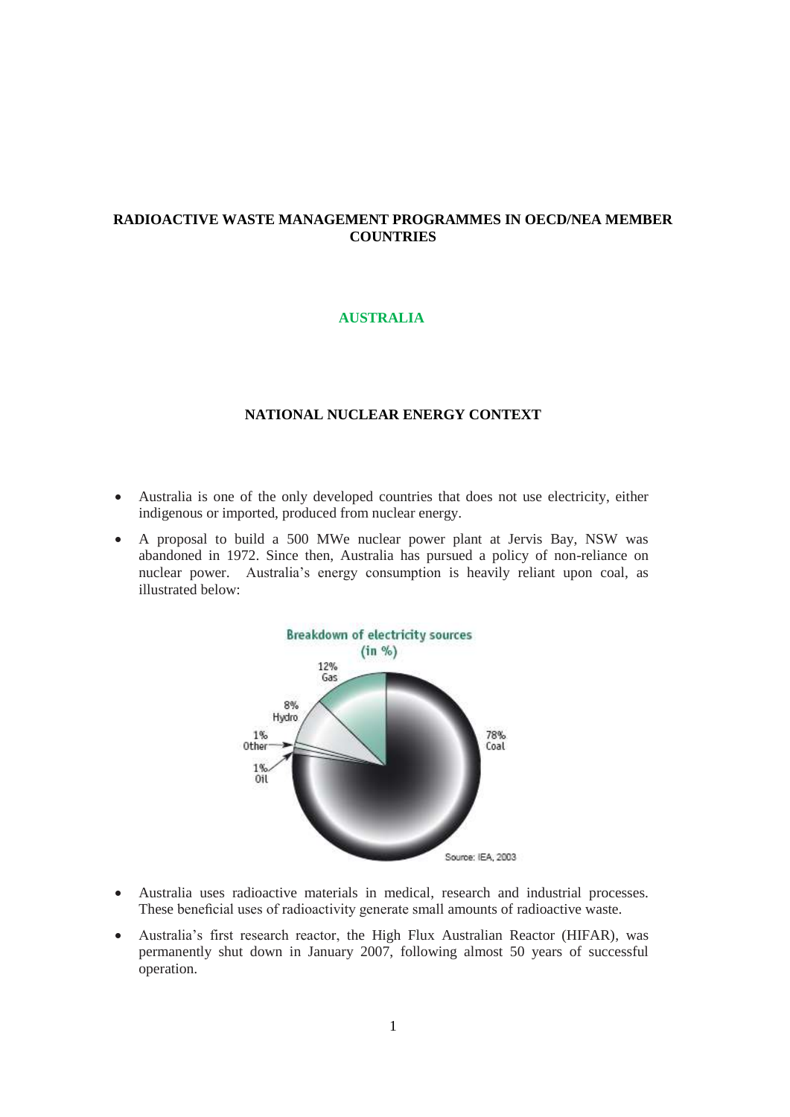# **RADIOACTIVE WASTE MANAGEMENT PROGRAMMES IN OECD/NEA MEMBER COUNTRIES**

## **AUSTRALIA**

# **NATIONAL NUCLEAR ENERGY CONTEXT**

- Australia is one of the only developed countries that does not use electricity, either indigenous or imported, produced from nuclear energy.
- A proposal to build a 500 MWe nuclear power plant at Jervis Bay, NSW was abandoned in 1972. Since then, Australia has pursued a policy of non-reliance on nuclear power. Australia's energy consumption is heavily reliant upon coal, as illustrated below:



- Australia uses radioactive materials in medical, research and industrial processes. These beneficial uses of radioactivity generate small amounts of radioactive waste.
- Australia's first research reactor, the High Flux Australian Reactor (HIFAR), was permanently shut down in January 2007, following almost 50 years of successful operation.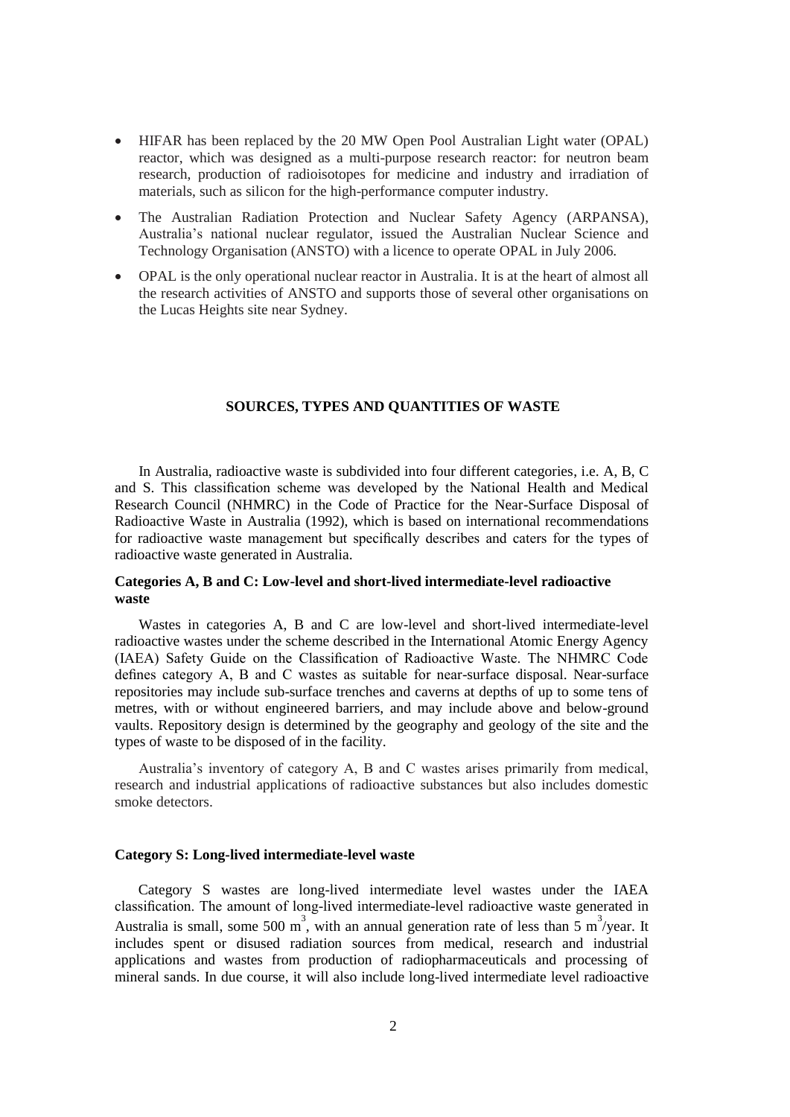- HIFAR has been replaced by the 20 MW Open Pool Australian Light water (OPAL) reactor, which was designed as a multi-purpose research reactor: for neutron beam research, production of radioisotopes for medicine and industry and irradiation of materials, such as silicon for the high-performance computer industry.
- The Australian Radiation Protection and Nuclear Safety Agency (ARPANSA), Australia's national nuclear regulator, issued the Australian Nuclear Science and Technology Organisation (ANSTO) with a licence to operate OPAL in July 2006.
- OPAL is the only operational nuclear reactor in Australia. It is at the heart of almost all the research activities of ANSTO and supports those of several other organisations on the Lucas Heights site near Sydney.

#### **SOURCES, TYPES AND QUANTITIES OF WASTE**

In Australia, radioactive waste is subdivided into four different categories, i.e. A, B, C and S. This classification scheme was developed by the National Health and Medical Research Council (NHMRC) in the Code of Practice for the Near-Surface Disposal of Radioactive Waste in Australia (1992), which is based on international recommendations for radioactive waste management but specifically describes and caters for the types of radioactive waste generated in Australia.

## **Categories A, B and C: Low-level and short-lived intermediate-level radioactive waste**

Wastes in categories A, B and C are low-level and short-lived intermediate-level radioactive wastes under the scheme described in the International Atomic Energy Agency (IAEA) Safety Guide on the Classification of Radioactive Waste. The NHMRC Code defines category A, B and C wastes as suitable for near-surface disposal. Near-surface repositories may include sub-surface trenches and caverns at depths of up to some tens of metres, with or without engineered barriers, and may include above and below-ground vaults. Repository design is determined by the geography and geology of the site and the types of waste to be disposed of in the facility.

Australia's inventory of category A, B and C wastes arises primarily from medical, research and industrial applications of radioactive substances but also includes domestic smoke detectors.

### **Category S: Long-lived intermediate-level waste**

Category S wastes are long-lived intermediate level wastes under the IAEA classification. The amount of long-lived intermediate-level radioactive waste generated in Australia is small, some 500 m<sup>3</sup>, with an annual generation rate of less than 5 m<sup>3</sup>/year. It includes spent or disused radiation sources from medical, research and industrial applications and wastes from production of radiopharmaceuticals and processing of mineral sands. In due course, it will also include long-lived intermediate level radioactive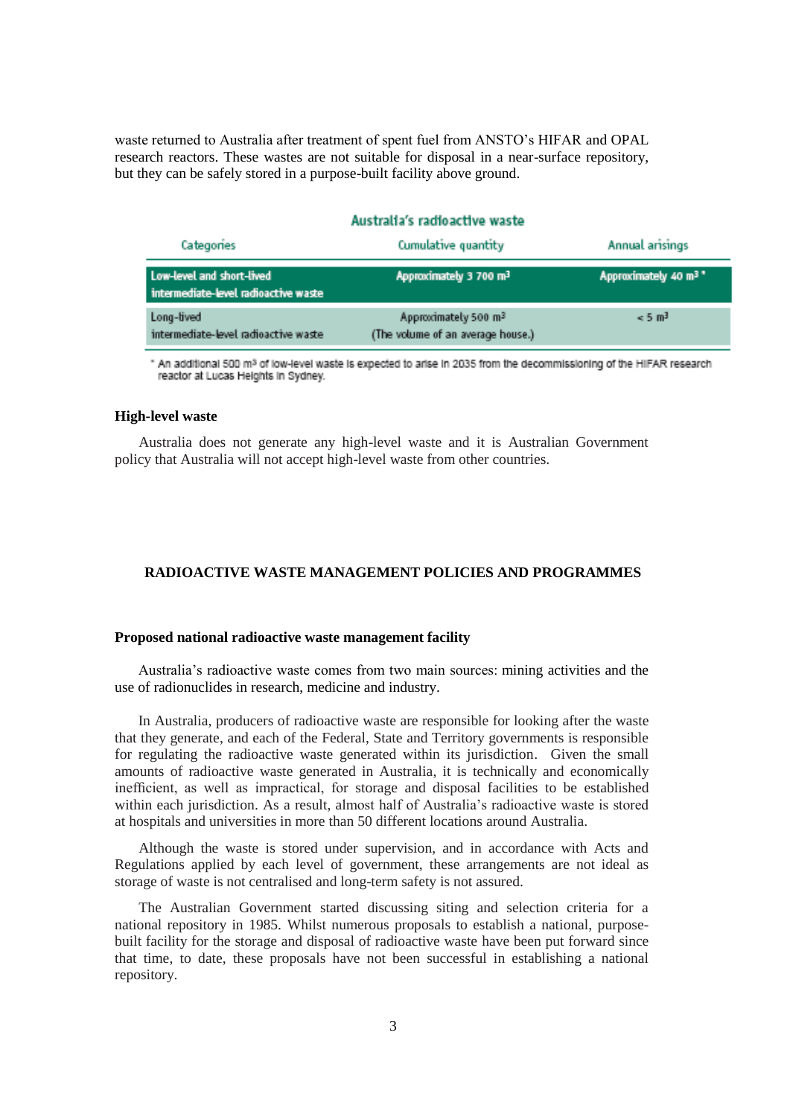waste returned to Australia after treatment of spent fuel from ANSTO's HIFAR and OPAL research reactors. These wastes are not suitable for disposal in a near-surface repository, but they can be safely stored in a purpose-built facility above ground.

### Australia's radioactive waste

| Categories<br>Low-level and short-lived<br>intermediate-level radioactive waste | Cumulative quantity<br>Approximately 3 700 m <sup>3</sup> | Annual arisings<br>Approximately 40 m <sup>3</sup> |
|---------------------------------------------------------------------------------|-----------------------------------------------------------|----------------------------------------------------|
|                                                                                 |                                                           |                                                    |

" An additional 500 m<sup>s</sup> of low-level waste is expected to arise in 2035 from the decommissioning of the HIFAR research reactor at Lucas Heights in Sydney.

#### **High-level waste**

Australia does not generate any high-level waste and it is Australian Government policy that Australia will not accept high-level waste from other countries.

## **RADIOACTIVE WASTE MANAGEMENT POLICIES AND PROGRAMMES**

#### **Proposed national radioactive waste management facility**

Australia's radioactive waste comes from two main sources: mining activities and the use of radionuclides in research, medicine and industry.

In Australia, producers of radioactive waste are responsible for looking after the waste that they generate, and each of the Federal, State and Territory governments is responsible for regulating the radioactive waste generated within its jurisdiction. Given the small amounts of radioactive waste generated in Australia, it is technically and economically inefficient, as well as impractical, for storage and disposal facilities to be established within each jurisdiction. As a result, almost half of Australia's radioactive waste is stored at hospitals and universities in more than 50 different locations around Australia.

Although the waste is stored under supervision, and in accordance with Acts and Regulations applied by each level of government, these arrangements are not ideal as storage of waste is not centralised and long-term safety is not assured.

The Australian Government started discussing siting and selection criteria for a national repository in 1985. Whilst numerous proposals to establish a national, purposebuilt facility for the storage and disposal of radioactive waste have been put forward since that time, to date, these proposals have not been successful in establishing a national repository.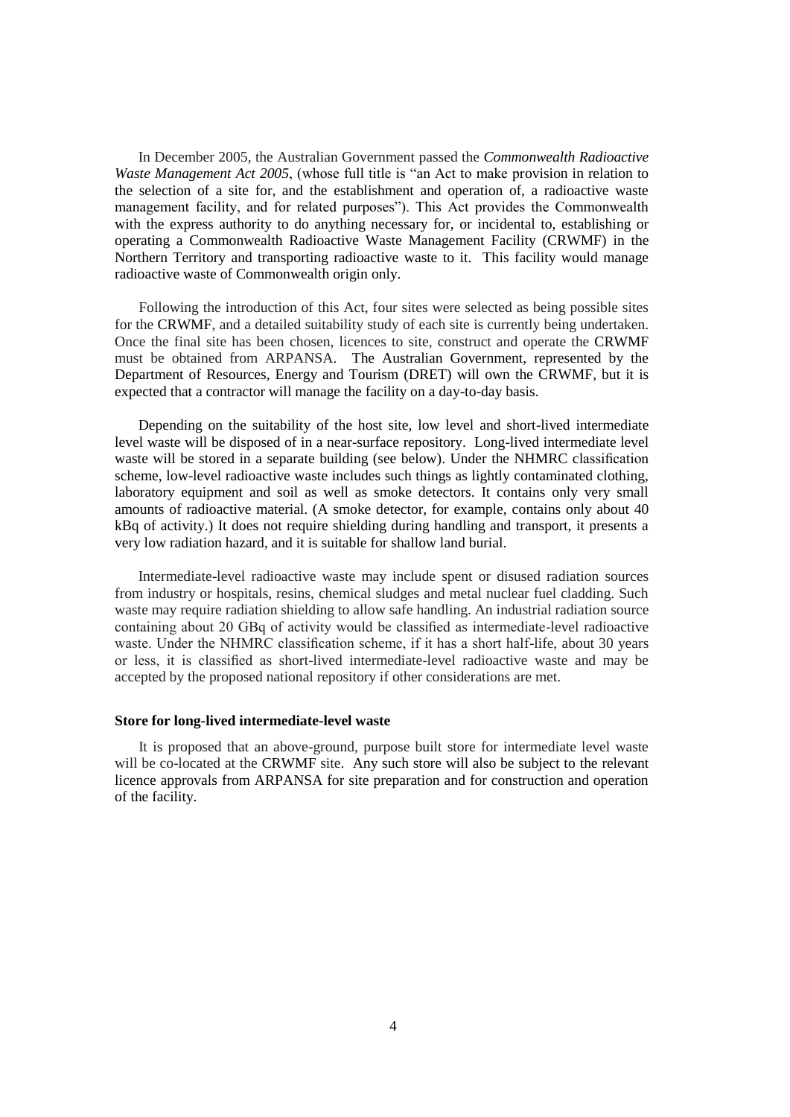In December 2005, the Australian Government passed the *Commonwealth Radioactive Waste Management Act 2005*, (whose full title is "an Act to make provision in relation to the selection of a site for, and the establishment and operation of, a radioactive waste management facility, and for related purposes"). This Act provides the Commonwealth with the express authority to do anything necessary for, or incidental to, establishing or operating a Commonwealth Radioactive Waste Management Facility (CRWMF) in the Northern Territory and transporting radioactive waste to it. This facility would manage radioactive waste of Commonwealth origin only.

Following the introduction of this Act, four sites were selected as being possible sites for the CRWMF, and a detailed suitability study of each site is currently being undertaken. Once the final site has been chosen, licences to site, construct and operate the CRWMF must be obtained from ARPANSA. The Australian Government, represented by the Department of Resources, Energy and Tourism (DRET) will own the CRWMF, but it is expected that a contractor will manage the facility on a day-to-day basis.

Depending on the suitability of the host site, low level and short-lived intermediate level waste will be disposed of in a near-surface repository. Long-lived intermediate level waste will be stored in a separate building (see below). Under the NHMRC classification scheme, low-level radioactive waste includes such things as lightly contaminated clothing, laboratory equipment and soil as well as smoke detectors. It contains only very small amounts of radioactive material. (A smoke detector, for example, contains only about 40 kBq of activity.) It does not require shielding during handling and transport, it presents a very low radiation hazard, and it is suitable for shallow land burial.

Intermediate-level radioactive waste may include spent or disused radiation sources from industry or hospitals, resins, chemical sludges and metal nuclear fuel cladding. Such waste may require radiation shielding to allow safe handling. An industrial radiation source containing about 20 GBq of activity would be classified as intermediate-level radioactive waste. Under the NHMRC classification scheme, if it has a short half-life, about 30 years or less, it is classified as short-lived intermediate-level radioactive waste and may be accepted by the proposed national repository if other considerations are met.

### **Store for long-lived intermediate-level waste**

It is proposed that an above-ground, purpose built store for intermediate level waste will be co-located at the CRWMF site. Any such store will also be subject to the relevant licence approvals from ARPANSA for site preparation and for construction and operation of the facility.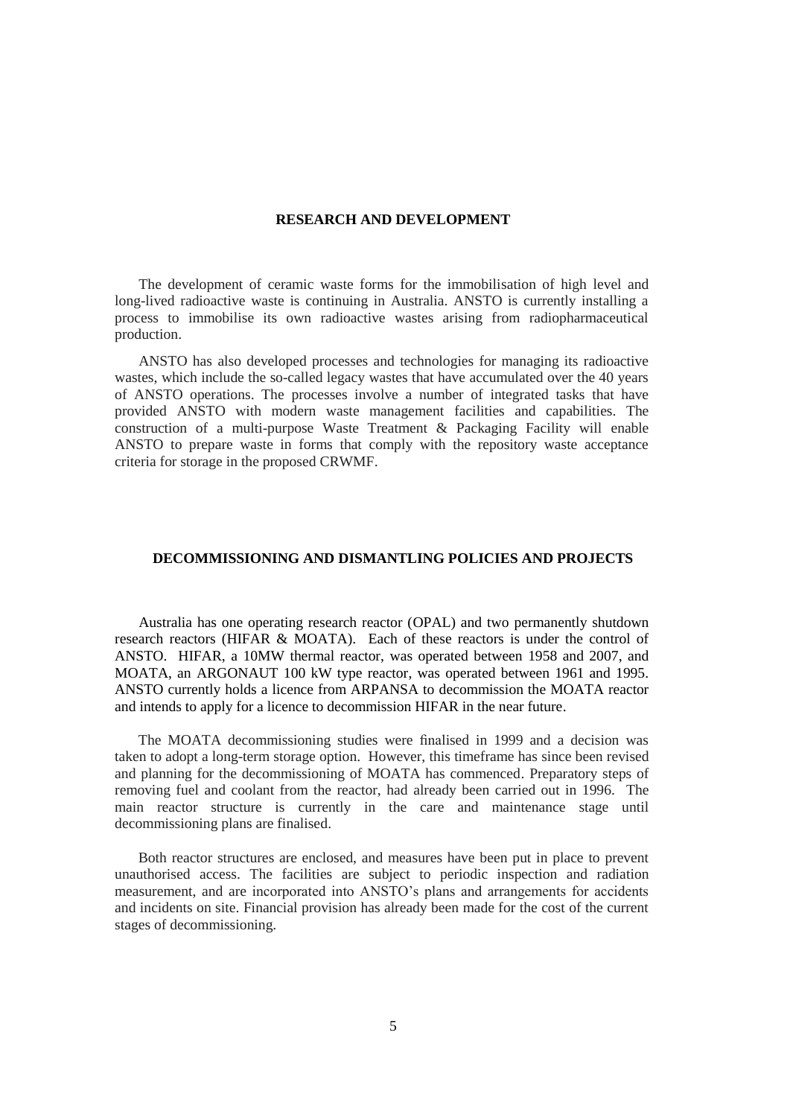### **RESEARCH AND DEVELOPMENT**

The development of ceramic waste forms for the immobilisation of high level and long-lived radioactive waste is continuing in Australia. ANSTO is currently installing a process to immobilise its own radioactive wastes arising from radiopharmaceutical production.

ANSTO has also developed processes and technologies for managing its radioactive wastes, which include the so-called legacy wastes that have accumulated over the 40 years of ANSTO operations. The processes involve a number of integrated tasks that have provided ANSTO with modern waste management facilities and capabilities. The construction of a multi-purpose Waste Treatment & Packaging Facility will enable ANSTO to prepare waste in forms that comply with the repository waste acceptance criteria for storage in the proposed CRWMF.

#### **DECOMMISSIONING AND DISMANTLING POLICIES AND PROJECTS**

Australia has one operating research reactor (OPAL) and two permanently shutdown research reactors (HIFAR & MOATA). Each of these reactors is under the control of ANSTO. HIFAR, a 10MW thermal reactor, was operated between 1958 and 2007, and MOATA, an ARGONAUT 100 kW type reactor, was operated between 1961 and 1995. ANSTO currently holds a licence from ARPANSA to decommission the MOATA reactor and intends to apply for a licence to decommission HIFAR in the near future.

The MOATA decommissioning studies were finalised in 1999 and a decision was taken to adopt a long-term storage option. However, this timeframe has since been revised and planning for the decommissioning of MOATA has commenced. Preparatory steps of removing fuel and coolant from the reactor, had already been carried out in 1996. The main reactor structure is currently in the care and maintenance stage until decommissioning plans are finalised.

Both reactor structures are enclosed, and measures have been put in place to prevent unauthorised access. The facilities are subject to periodic inspection and radiation measurement, and are incorporated into ANSTO's plans and arrangements for accidents and incidents on site. Financial provision has already been made for the cost of the current stages of decommissioning.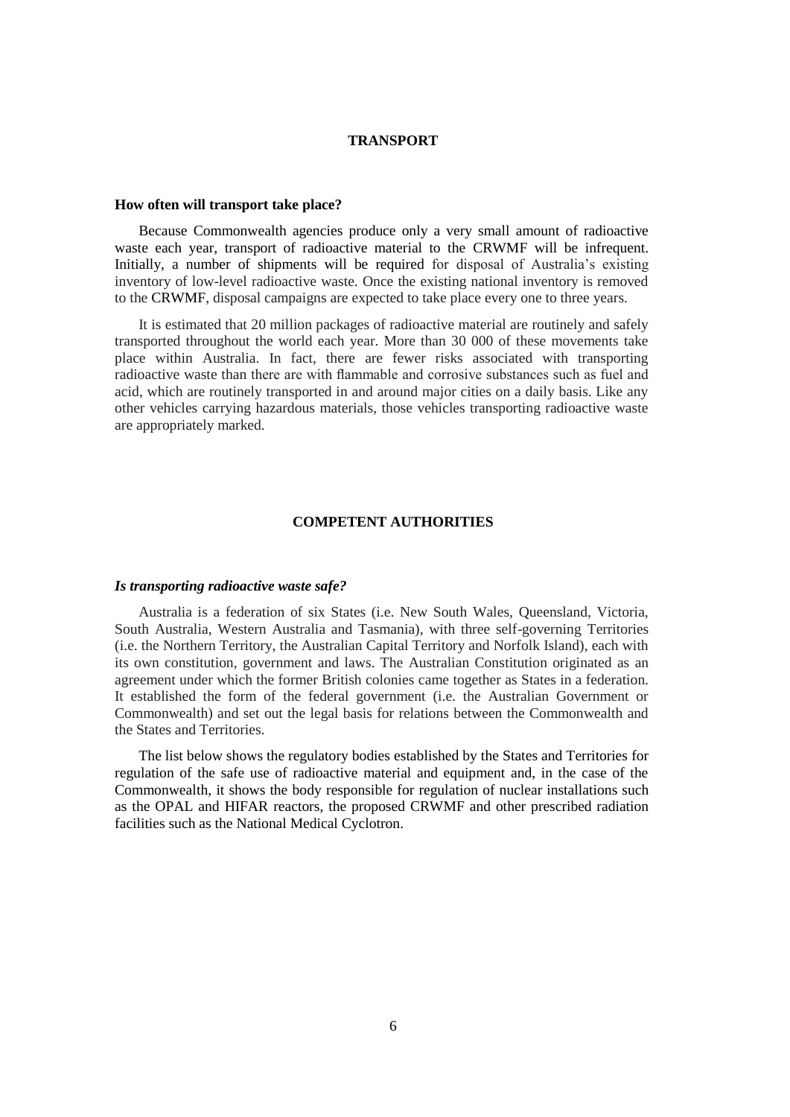### **TRANSPORT**

#### **How often will transport take place?**

Because Commonwealth agencies produce only a very small amount of radioactive waste each year, transport of radioactive material to the CRWMF will be infrequent. Initially, a number of shipments will be required for disposal of Australia's existing inventory of low-level radioactive waste. Once the existing national inventory is removed to the CRWMF, disposal campaigns are expected to take place every one to three years.

It is estimated that 20 million packages of radioactive material are routinely and safely transported throughout the world each year. More than 30 000 of these movements take place within Australia. In fact, there are fewer risks associated with transporting radioactive waste than there are with flammable and corrosive substances such as fuel and acid, which are routinely transported in and around major cities on a daily basis. Like any other vehicles carrying hazardous materials, those vehicles transporting radioactive waste are appropriately marked.

### **COMPETENT AUTHORITIES**

#### *Is transporting radioactive waste safe?*

Australia is a federation of six States (i.e. New South Wales, Queensland, Victoria, South Australia, Western Australia and Tasmania), with three self-governing Territories (i.e. the Northern Territory, the Australian Capital Territory and Norfolk Island), each with its own constitution, government and laws. The Australian Constitution originated as an agreement under which the former British colonies came together as States in a federation. It established the form of the federal government (i.e. the Australian Government or Commonwealth) and set out the legal basis for relations between the Commonwealth and the States and Territories.

The list below shows the regulatory bodies established by the States and Territories for regulation of the safe use of radioactive material and equipment and, in the case of the Commonwealth, it shows the body responsible for regulation of nuclear installations such as the OPAL and HIFAR reactors, the proposed CRWMF and other prescribed radiation facilities such as the National Medical Cyclotron.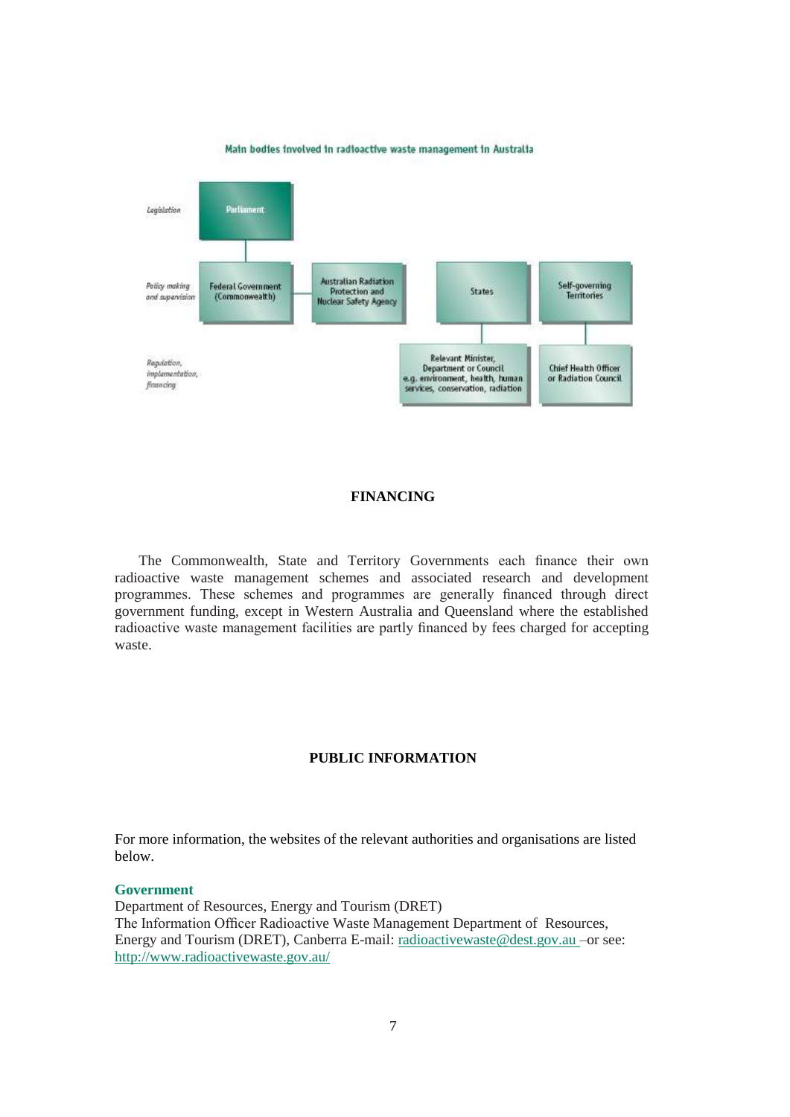

#### Main bodies involved in radioactive waste management in Australia

# **FINANCING**

The Commonwealth, State and Territory Governments each finance their own radioactive waste management schemes and associated research and development programmes. These schemes and programmes are generally financed through direct government funding, except in Western Australia and Queensland where the established radioactive waste management facilities are partly financed by fees charged for accepting waste.

### **PUBLIC INFORMATION**

For more information, the websites of the relevant authorities and organisations are listed below.

#### **Government**

Department of Resources, Energy and Tourism (DRET) The Information Officer Radioactive Waste Management Department of Resources, Energy and Tourism (DRET), Canberra E-mail: radioactivewaste@dest.gov.au –or see: http://www.radioactivewaste.gov.au/